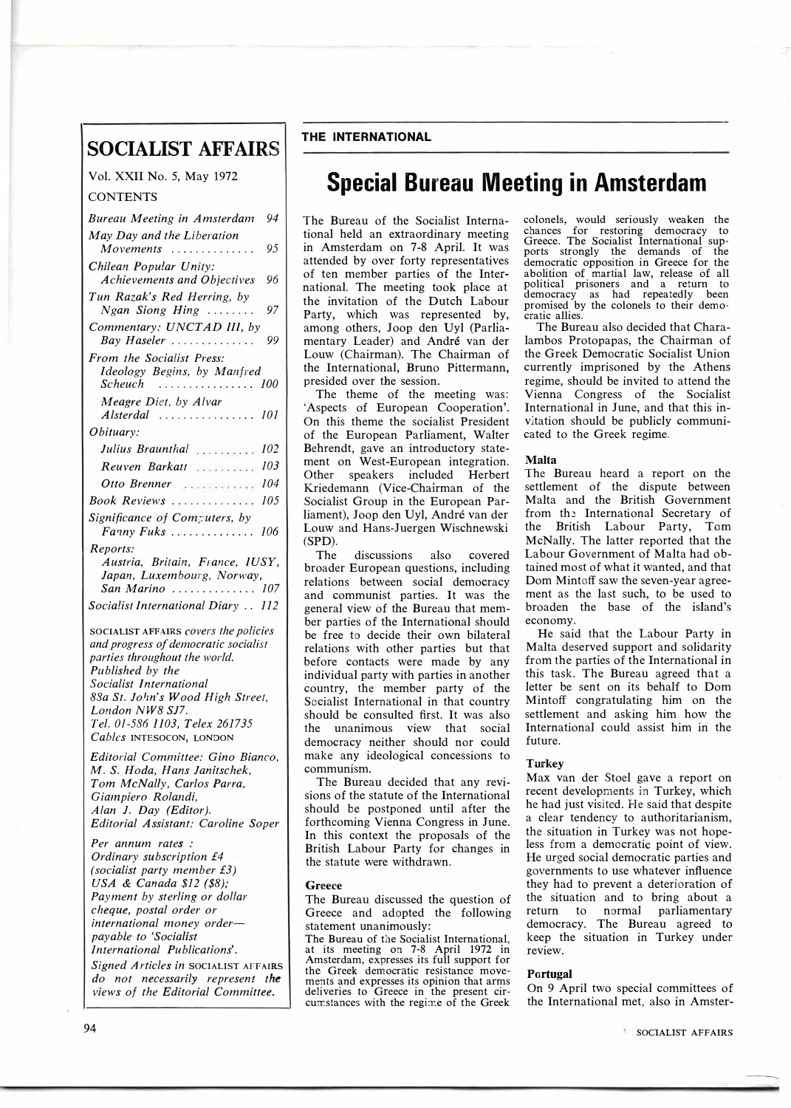# **SOCIALIST AFFAIRS**

Vol. XXII No. 5, May 1972

# **CONTENTS**

| 94<br>Bureau Meeting in Amsterdam                                                                                                                                                                                                                      |
|--------------------------------------------------------------------------------------------------------------------------------------------------------------------------------------------------------------------------------------------------------|
| May Day and the Liberation<br>95<br>Movements<br>.                                                                                                                                                                                                     |
| Chilean Popular Unity:<br>96<br><b>Achievements and Objectives</b>                                                                                                                                                                                     |
| Tun Razak's Red Herring, by<br>97<br>$Ngan$ Siong Hing $\ldots \ldots$                                                                                                                                                                                 |
| Commentary: UNCTAD III, by<br>99<br>Bay Haseler                                                                                                                                                                                                        |
| From the Socialist Press:<br>Ideology Begins, by Manfred                                                                                                                                                                                               |
| Scheuch<br>100<br>.<br>Meagre Diet, by Alvar                                                                                                                                                                                                           |
| Alsterdal<br>101<br>Obituary:                                                                                                                                                                                                                          |
| 102<br>Julius Braunthal                                                                                                                                                                                                                                |
| 103<br>Reuven Barkatt                                                                                                                                                                                                                                  |
| 104<br>Otto Brenner                                                                                                                                                                                                                                    |
| 105<br>Book Reviews                                                                                                                                                                                                                                    |
| Significance of Computers, by<br>Fanny Fuks<br>106                                                                                                                                                                                                     |
| Reports:<br>Austria, Britain, France, IUSY,<br>Japan, Luxembourg, Norway,                                                                                                                                                                              |
| San Marino  107                                                                                                                                                                                                                                        |
| Socialist International Diary  112                                                                                                                                                                                                                     |
| SOCIALIST AFFAIRS covers the policies<br>and progress of democratic socialist<br>parties throughout the world.<br>Published by the<br>Socialist International<br>88a St. John's Wood High Street,<br>London NW8 SJ7.<br>Tel. 01-586 1103, Telex 261735 |
| Cables INTESOCON, LONDON                                                                                                                                                                                                                               |
| Editorial Committee: Gino Bianco,<br>M. S. Hoda, Hans Janitschek,<br>Tom McNally, Carlos Parra,<br>Giampiero Rolandi,<br>Alan J. Day (Editor).<br>Editorial Assistant: Caroline Soper                                                                  |
| Per annum rates:<br>Ordinary subscription £4<br>(socialist party member £3)                                                                                                                                                                            |
| USA & Canada \$12 (\$8);<br>Payment by sterling or dollar                                                                                                                                                                                              |
| cheque, postal order or                                                                                                                                                                                                                                |
| international money order-                                                                                                                                                                                                                             |
| payable to 'Socialist                                                                                                                                                                                                                                  |
| International Publications'.                                                                                                                                                                                                                           |
| Signed Articles in SOCIALIST AFFAIRS<br>do not necessarily represent the                                                                                                                                                                               |
| views of the Editorial Committee.                                                                                                                                                                                                                      |

# **THE INTERNATIONAL**

# **Special Bureau Meeting in Amsterdam**

The Bureau of the Socialist International held an extraordinary meeting in Amsterdam on 7-8 April. It was attended by over forty representatives of ten member parties of the International. The meeting took place at the invitation of the Dutch Labour Party, which was represented by, among -others, Joop den Uyl (Parliamentary Leader) and Andre van der Louw (Chairman). The Chairman of the International, Bruno Pittermann, presided over the session.

The theme of the meeting was: 'Aspects of European Cooperation'. On this theme the socialist President of the European Parliament, Walter Behrendt, gave an introductory statement on West-European integration. Other speakers included Herbert Kriedemann (Vice-Chairman of the Socialist Group in the European Parliament), Joop den Uyl, Andre van der Louw and Hans-Juergen Wischnewski (SPD).

The discussions also covered broader European questions, including relations between social democracy and communist parties. It was the general view of the Bureau that member parties of the International should be free to decide their own bilateral relations with other parties but that before contacts were made by any individual party with parties in another country, the member party of the Socialist International in that country should be consulted first. It was also the unanimous view that social democracy neither should nor could make any ideological concessions to communism.

The Bureau decided that any revisions of the statute of the International should be postponed until after the forthcoming Vienna Congress in June. In this context the proposals of the British Labour Party for changes in the statute were withdrawn.

#### **Greece**

The Bureau discussed the question of Greece and adopted the following statement unanimously:

The Bureau of the Socialist International, at its meeting on 7-8 April 1972 in Amsterdam, expresses its full support for the Greek democratic resistance movements and expresses its opinion that arms deliveries to Greece in the present circumstances with the regime of the Greek

colonels, would seriously weaken the chances for restoring democracy to Greece. The Socialist International supports strongly the demands of the democratic opposition in Greece for the abolition of martial law, release of all political prisoners and a return to democracy as had repeatedly been promised by the colonels to their democratic allies.

The Bureau also decided that Charalambos Protopapas, the Chairman of the Greek Democratic Socialist Union currently imprisoned by the Athens regime, should be invited to attend the Vienna Congress of the Socialist International in June, and that this invitation should be publicly communicated to the Greek regime.

## **Malta**

The Bureau heard a report on the settlement of the dispute between Malta and the British Government from the International Secretary of the British Labour Party, Tom McNally. The latter reported that the Labour Government of Malta had obtained most of what it wanted, and that Dom Mintoff saw the seven-year agreement as the last such, to be used to broaden the base of the island's economy.

He said that the Labour Party in Malta deserved support and solidarity from the parties of the International in this task. The Bureau agreed that a letter be sent on its behalf to Dom Mintoff congratulating him on the settlement and asking him how the International could assist him in the future.

# **Turkey**

Max van der Stoel gave a report on recent developments in Turkey, which he had just visited. He said that despite a clear tendency to authoritarianism, the situation in Turkey was not hopeless from a democratic point of view. He urged social democratic parties and governments to use whatever influence they had to prevent a deterioration of the situation and to bring about a return to normal parliamentary democracy. The Bureau agreed to keep the situation in Turkey under review.

## **Portugal**

On 9 April two special committees of the International met, also in Amster